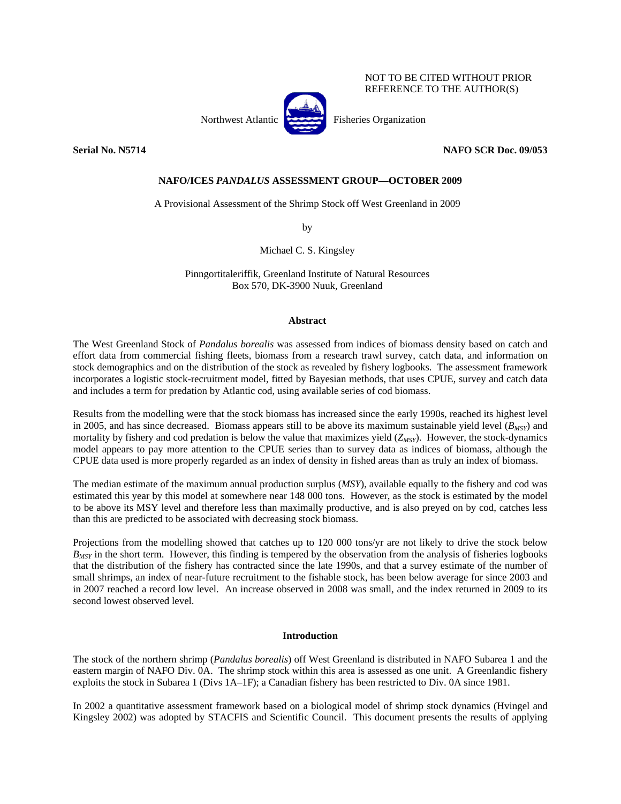## NOT TO BE CITED WITHOUT PRIOR REFERENCE TO THE AUTHOR(S)

Northwest Atlantic Fisheries Organization

**Serial No. N5714 NAFO SCR Doc. 09/053** 

## **NAFO/ICES** *PANDALUS* **ASSESSMENT GROUP—OCTOBER 2009**

A Provisional Assessment of the Shrimp Stock off West Greenland in 2009

by

Michael C. S. Kingsley

Pinngortitaleriffik, Greenland Institute of Natural Resources Box 570, DK-3900 Nuuk, Greenland

## **Abstract**

The West Greenland Stock of *Pandalus borealis* was assessed from indices of biomass density based on catch and effort data from commercial fishing fleets, biomass from a research trawl survey, catch data, and information on stock demographics and on the distribution of the stock as revealed by fishery logbooks. The assessment framework incorporates a logistic stock-recruitment model, fitted by Bayesian methods, that uses CPUE, survey and catch data and includes a term for predation by Atlantic cod, using available series of cod biomass.

Results from the modelling were that the stock biomass has increased since the early 1990s, reached its highest level in 2005, and has since decreased. Biomass appears still to be above its maximum sustainable yield level  $(B_{MST})$  and mortality by fishery and cod predation is below the value that maximizes yield (*Z<sub>MSY</sub>*). However, the stock-dynamics model appears to pay more attention to the CPUE series than to survey data as indices of biomass, although the CPUE data used is more properly regarded as an index of density in fished areas than as truly an index of biomass.

The median estimate of the maximum annual production surplus (*MSY*), available equally to the fishery and cod was estimated this year by this model at somewhere near 148 000 tons. However, as the stock is estimated by the model to be above its MSY level and therefore less than maximally productive, and is also preyed on by cod, catches less than this are predicted to be associated with decreasing stock biomass.

Projections from the modelling showed that catches up to 120 000 tons/yr are not likely to drive the stock below *B<sub>MSY</sub>* in the short term. However, this finding is tempered by the observation from the analysis of fisheries logbooks that the distribution of the fishery has contracted since the late 1990s, and that a survey estimate of the number of small shrimps, an index of near-future recruitment to the fishable stock, has been below average for since 2003 and in 2007 reached a record low level. An increase observed in 2008 was small, and the index returned in 2009 to its second lowest observed level.

## **Introduction**

The stock of the northern shrimp (*Pandalus borealis*) off West Greenland is distributed in NAFO Subarea 1 and the eastern margin of NAFO Div. 0A. The shrimp stock within this area is assessed as one unit. A Greenlandic fishery exploits the stock in Subarea 1 (Divs 1A–1F); a Canadian fishery has been restricted to Div. 0A since 1981.

In 2002 a quantitative assessment framework based on a biological model of shrimp stock dynamics (Hvingel and Kingsley 2002) was adopted by STACFIS and Scientific Council. This document presents the results of applying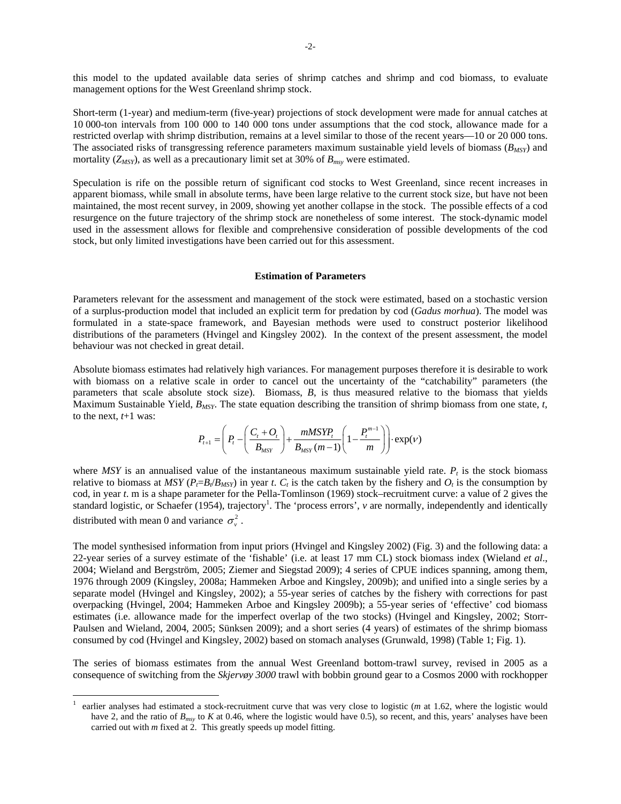this model to the updated available data series of shrimp catches and shrimp and cod biomass, to evaluate management options for the West Greenland shrimp stock.

Short-term (1-year) and medium-term (five-year) projections of stock development were made for annual catches at 10 000-ton intervals from 100 000 to 140 000 tons under assumptions that the cod stock, allowance made for a restricted overlap with shrimp distribution, remains at a level similar to those of the recent years—10 or 20 000 tons. The associated risks of transgressing reference parameters maximum sustainable yield levels of biomass  $(B_{MSY})$  and mortality  $(Z_{MSY})$ , as well as a precautionary limit set at 30% of  $B_{msv}$  were estimated.

Speculation is rife on the possible return of significant cod stocks to West Greenland, since recent increases in apparent biomass, while small in absolute terms, have been large relative to the current stock size, but have not been maintained, the most recent survey, in 2009, showing yet another collapse in the stock. The possible effects of a cod resurgence on the future trajectory of the shrimp stock are nonetheless of some interest. The stock-dynamic model used in the assessment allows for flexible and comprehensive consideration of possible developments of the cod stock, but only limited investigations have been carried out for this assessment.

#### **Estimation of Parameters**

Parameters relevant for the assessment and management of the stock were estimated, based on a stochastic version of a surplus-production model that included an explicit term for predation by cod (*Gadus morhua*). The model was formulated in a state-space framework, and Bayesian methods were used to construct posterior likelihood distributions of the parameters (Hvingel and Kingsley 2002). In the context of the present assessment, the model behaviour was not checked in great detail.

Absolute biomass estimates had relatively high variances. For management purposes therefore it is desirable to work with biomass on a relative scale in order to cancel out the uncertainty of the "catchability" parameters (the parameters that scale absolute stock size). Biomass, *B*, is thus measured relative to the biomass that yields Maximum Sustainable Yield, *BMSY*. The state equation describing the transition of shrimp biomass from one state, *t*, to the next,  $t+1$  was:

$$
P_{t+1} = \left(P_t - \left(\frac{C_t + O_t}{B_{MSY}}\right) + \frac{mMSYP_t}{B_{MSY}(m-1)} \left(1 - \frac{P_t^{m-1}}{m}\right)\right) \cdot \exp(V)
$$

where *MSY* is an annualised value of the instantaneous maximum sustainable yield rate.  $P_t$  is the stock biomass relative to biomass at *MSY* ( $P_f = B_f / B_{MSY}$ ) in year *t*.  $C_t$  is the catch taken by the fishery and  $O_t$  is the consumption by cod, in year *t*. m is a shape parameter for the Pella-Tomlinson (1969) stock–recruitment curve: a value of 2 gives the standard logistic, or Schaefer (1954), trajectory<sup>1</sup>. The 'process errors', *v* are normally, independently and identically distributed with mean 0 and variance  $\sigma^2$ .

The model synthesised information from input priors (Hvingel and Kingsley 2002) (Fig. 3) and the following data: a 22-year series of a survey estimate of the 'fishable' (i.e. at least 17 mm CL) stock biomass index (Wieland *et al*., 2004; Wieland and Bergström, 2005; Ziemer and Siegstad 2009); 4 series of CPUE indices spanning, among them, 1976 through 2009 (Kingsley, 2008a; Hammeken Arboe and Kingsley, 2009b); and unified into a single series by a separate model (Hvingel and Kingsley, 2002); a 55-year series of catches by the fishery with corrections for past overpacking (Hvingel, 2004; Hammeken Arboe and Kingsley 2009b); a 55-year series of 'effective' cod biomass estimates (i.e. allowance made for the imperfect overlap of the two stocks) (Hvingel and Kingsley, 2002; Storr-Paulsen and Wieland, 2004, 2005; Sünksen 2009); and a short series (4 years) of estimates of the shrimp biomass consumed by cod (Hvingel and Kingsley, 2002) based on stomach analyses (Grunwald, 1998) (Table 1; Fig. 1).

The series of biomass estimates from the annual West Greenland bottom-trawl survey, revised in 2005 as a consequence of switching from the *Skjervøy 3000* trawl with bobbin ground gear to a Cosmos 2000 with rockhopper

 $\overline{a}$ 

<sup>1</sup> earlier analyses had estimated a stock-recruitment curve that was very close to logistic (*m* at 1.62, where the logistic would have 2, and the ratio of  $B_{msv}$  to *K* at 0.46, where the logistic would have 0.5), so recent, and this, years' analyses have been carried out with *m* fixed at 2. This greatly speeds up model fitting.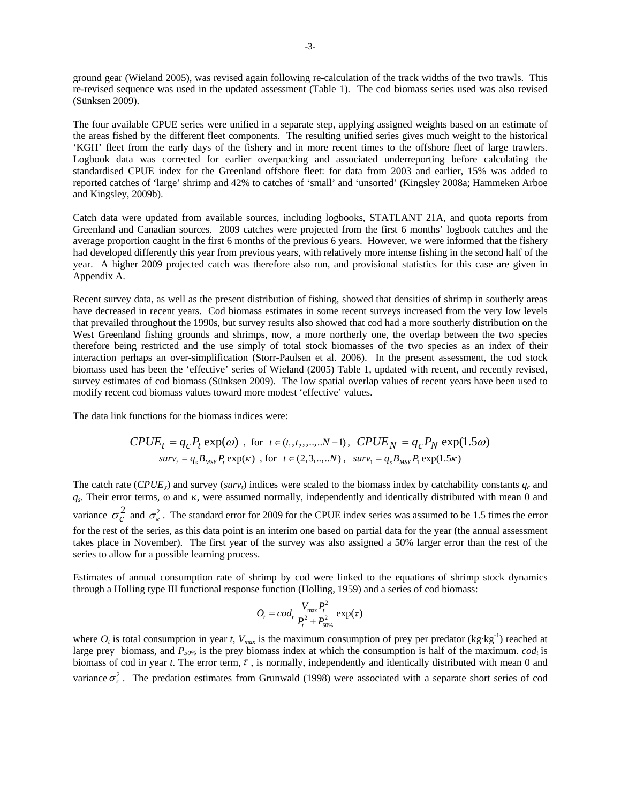ground gear (Wieland 2005), was revised again following re-calculation of the track widths of the two trawls. This re-revised sequence was used in the updated assessment (Table 1). The cod biomass series used was also revised (Sünksen 2009).

The four available CPUE series were unified in a separate step, applying assigned weights based on an estimate of the areas fished by the different fleet components. The resulting unified series gives much weight to the historical 'KGH' fleet from the early days of the fishery and in more recent times to the offshore fleet of large trawlers. Logbook data was corrected for earlier overpacking and associated underreporting before calculating the standardised CPUE index for the Greenland offshore fleet: for data from 2003 and earlier, 15% was added to reported catches of 'large' shrimp and 42% to catches of 'small' and 'unsorted' (Kingsley 2008a; Hammeken Arboe and Kingsley, 2009b).

Catch data were updated from available sources, including logbooks, STATLANT 21A, and quota reports from Greenland and Canadian sources. 2009 catches were projected from the first 6 months' logbook catches and the average proportion caught in the first 6 months of the previous 6 years. However, we were informed that the fishery had developed differently this year from previous years, with relatively more intense fishing in the second half of the year. A higher 2009 projected catch was therefore also run, and provisional statistics for this case are given in Appendix A.

Recent survey data, as well as the present distribution of fishing, showed that densities of shrimp in southerly areas have decreased in recent years. Cod biomass estimates in some recent surveys increased from the very low levels that prevailed throughout the 1990s, but survey results also showed that cod had a more southerly distribution on the West Greenland fishing grounds and shrimps, now, a more northerly one, the overlap between the two species therefore being restricted and the use simply of total stock biomasses of the two species as an index of their interaction perhaps an over-simplification (Storr-Paulsen et al. 2006). In the present assessment, the cod stock biomass used has been the 'effective' series of Wieland (2005) Table 1, updated with recent, and recently revised, survey estimates of cod biomass (Sünksen 2009). The low spatial overlap values of recent years have been used to modify recent cod biomass values toward more modest 'effective' values.

The data link functions for the biomass indices were:

$$
CPUE_t = q_c P_t \exp(\omega) \text{ , for } t \in (t_1, t_2, ..., N-1), \text{ } CPUE_N = q_c P_N \exp(1.5\omega)
$$
  

$$
surv_t = q_s B_{MST} P_t \exp(\kappa) \text{ , for } t \in (2, 3, ..., N), \text{ } surv_1 = q_s B_{MST} P_t \exp(1.5\kappa)
$$

The catch rate (*CPUE<sub>x</sub>*) and survey (*surv<sub>t</sub>*) indices were scaled to the biomass index by catchability constants  $q_c$  and *qs*. Their error terms, ω and κ, were assumed normally, independently and identically distributed with mean 0 and variance  $\sigma_c^2$  and  $\sigma_{\kappa}^2$ . The standard error for 2009 for the CPUE index series was assumed to be 1.5 times the error for the rest of the series, as this data point is an interim one based on partial data for the year (the annual assessment takes place in November). The first year of the survey was also assigned a 50% larger error than the rest of the series to allow for a possible learning process.

Estimates of annual consumption rate of shrimp by cod were linked to the equations of shrimp stock dynamics through a Holling type III functional response function (Holling, 1959) and a series of cod biomass:

$$
O_t = cod_t \frac{V_{\text{max}} P_t^2}{P_t^2 + P_{50\%}^2} \exp(\tau)
$$

where  $O_t$  is total consumption in year *t*,  $V_{max}$  is the maximum consumption of prey per predator (kg·kg<sup>-1</sup>) reached at large prey biomass, and  $P_{50\%}$  is the prey biomass index at which the consumption is half of the maximum. *cod<sub>t</sub>* is biomass of cod in year *t*. The error term,  $\tau$ , is normally, independently and identically distributed with mean 0 and variance  $\sigma_r^2$ . The predation estimates from Grunwald (1998) were associated with a separate short series of cod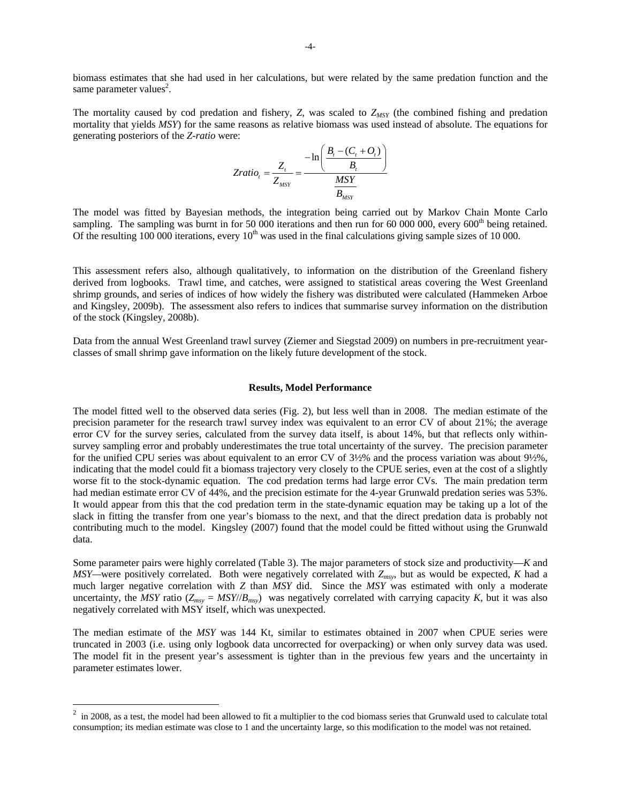biomass estimates that she had used in her calculations, but were related by the same predation function and the same parameter values<sup>2</sup>.

The mortality caused by cod predation and fishery,  $Z$ , was scaled to  $Z_{MSY}$  (the combined fishing and predation mortality that yields *MSY*) for the same reasons as relative biomass was used instead of absolute. The equations for generating posteriors of the *Z-ratio* were:

$$
Zratio_t = \frac{Z_t}{Z_{MSY}} = \frac{-\ln\left(\frac{B_t - (C_t + O_t)}{B_t}\right)}{\frac{MSY}{B_{MSY}}}
$$

The model was fitted by Bayesian methods, the integration being carried out by Markov Chain Monte Carlo sampling. The sampling was burnt in for 50 000 iterations and then run for 60 000 000, every 600<sup>th</sup> being retained. Of the resulting 100 000 iterations, every  $10<sup>th</sup>$  was used in the final calculations giving sample sizes of 10 000.

This assessment refers also, although qualitatively, to information on the distribution of the Greenland fishery derived from logbooks. Trawl time, and catches, were assigned to statistical areas covering the West Greenland shrimp grounds, and series of indices of how widely the fishery was distributed were calculated (Hammeken Arboe and Kingsley, 2009b). The assessment also refers to indices that summarise survey information on the distribution of the stock (Kingsley, 2008b).

Data from the annual West Greenland trawl survey (Ziemer and Siegstad 2009) on numbers in pre-recruitment yearclasses of small shrimp gave information on the likely future development of the stock.

### **Results, Model Performance**

The model fitted well to the observed data series (Fig. 2), but less well than in 2008. The median estimate of the precision parameter for the research trawl survey index was equivalent to an error CV of about 21%; the average error CV for the survey series, calculated from the survey data itself, is about 14%, but that reflects only withinsurvey sampling error and probably underestimates the true total uncertainty of the survey. The precision parameter for the unified CPU series was about equivalent to an error CV of 3½% and the process variation was about 9½%, indicating that the model could fit a biomass trajectory very closely to the CPUE series, even at the cost of a slightly worse fit to the stock-dynamic equation. The cod predation terms had large error CVs. The main predation term had median estimate error CV of 44%, and the precision estimate for the 4-year Grunwald predation series was 53%. It would appear from this that the cod predation term in the state-dynamic equation may be taking up a lot of the slack in fitting the transfer from one year's biomass to the next, and that the direct predation data is probably not contributing much to the model. Kingsley (2007) found that the model could be fitted without using the Grunwald data.

Some parameter pairs were highly correlated (Table 3). The major parameters of stock size and productivity—*K* and *MSY—*were positively correlated. Both were negatively correlated with *Zmsy*, but as would be expected, *K* had a much larger negative correlation with *Z* than *MSY* did. Since the *MSY* was estimated with only a moderate uncertainty, the *MSY* ratio ( $Z_{msy} = MSY/B_{msy}$ ) was negatively correlated with carrying capacity *K*, but it was also negatively correlated with MSY itself, which was unexpected.

The median estimate of the *MSY* was 144 Kt, similar to estimates obtained in 2007 when CPUE series were truncated in 2003 (i.e. using only logbook data uncorrected for overpacking) or when only survey data was used. The model fit in the present year's assessment is tighter than in the previous few years and the uncertainty in parameter estimates lower.

 $\overline{a}$ 

 $2 \text{ in 2008, as a test, the model had been allowed to fit a multiplier to the cod biomass series that Grunwald used to calculate total.}$ consumption; its median estimate was close to 1 and the uncertainty large, so this modification to the model was not retained.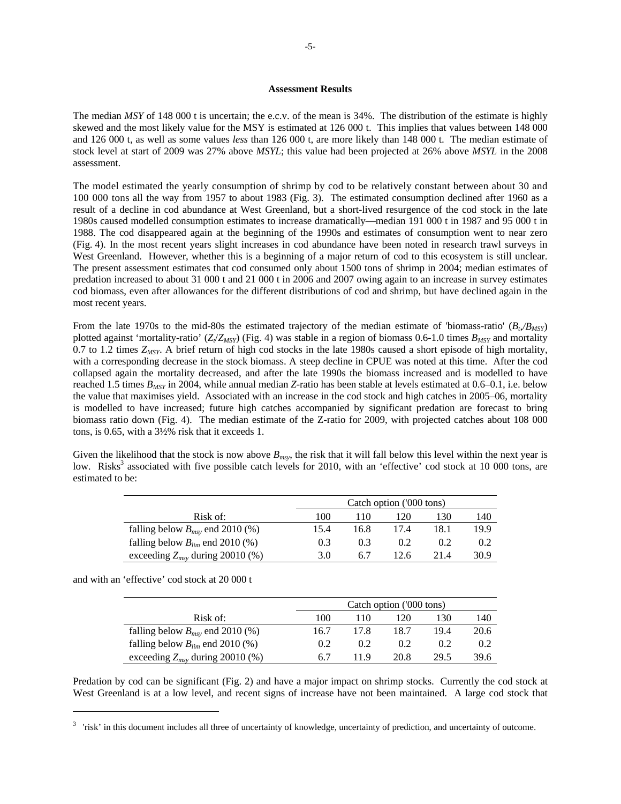### **Assessment Results**

The median *MSY* of 148 000 t is uncertain; the e.c.v. of the mean is 34%. The distribution of the estimate is highly skewed and the most likely value for the MSY is estimated at 126 000 t. This implies that values between 148 000 and 126 000 t, as well as some values *less* than 126 000 t, are more likely than 148 000 t. The median estimate of stock level at start of 2009 was 27% above *MSYL*; this value had been projected at 26% above *MSYL* in the 2008 assessment.

The model estimated the yearly consumption of shrimp by cod to be relatively constant between about 30 and 100 000 tons all the way from 1957 to about 1983 (Fig. 3). The estimated consumption declined after 1960 as a result of a decline in cod abundance at West Greenland, but a short-lived resurgence of the cod stock in the late 1980s caused modelled consumption estimates to increase dramatically—median 191 000 t in 1987 and 95 000 t in 1988. The cod disappeared again at the beginning of the 1990s and estimates of consumption went to near zero (Fig. 4). In the most recent years slight increases in cod abundance have been noted in research trawl surveys in West Greenland. However, whether this is a beginning of a major return of cod to this ecosystem is still unclear. The present assessment estimates that cod consumed only about 1500 tons of shrimp in 2004; median estimates of predation increased to about 31 000 t and 21 000 t in 2006 and 2007 owing again to an increase in survey estimates cod biomass, even after allowances for the different distributions of cod and shrimp, but have declined again in the most recent years.

From the late 1970s to the mid-80s the estimated trajectory of the median estimate of 'biomass-ratio'  $(B_n/B_{MSP})$ plotted against 'mortality-ratio'  $(Z_t/Z_{MSY})$  (Fig. 4) was stable in a region of biomass 0.6-1.0 times  $B_{MSY}$  and mortality 0.7 to 1.2 times *ZMSY*. A brief return of high cod stocks in the late 1980s caused a short episode of high mortality, with a corresponding decrease in the stock biomass. A steep decline in CPUE was noted at this time. After the cod collapsed again the mortality decreased, and after the late 1990s the biomass increased and is modelled to have reached 1.5 times *BMSY* in 2004, while annual median *Z*-ratio has been stable at levels estimated at 0.6–0.1, i.e. below the value that maximises yield. Associated with an increase in the cod stock and high catches in 2005–06, mortality is modelled to have increased; future high catches accompanied by significant predation are forecast to bring biomass ratio down (Fig. 4). The median estimate of the Z-ratio for 2009, with projected catches about 108 000 tons, is 0.65, with a 3½% risk that it exceeds 1.

Given the likelihood that the stock is now above  $B_{msv}$ , the risk that it will fall below this level within the next year is low. Risks<sup>3</sup> associated with five possible catch levels for 2010, with an 'effective' cod stock at 10 000 tons, are estimated to be:

|                                      | Catch option ('000 tons) |      |      |      |      |  |
|--------------------------------------|--------------------------|------|------|------|------|--|
| Risk of:                             | 100                      | 110  | 120  | 130  | 140  |  |
| falling below $B_{msv}$ end 2010 (%) | 15.4                     | 16.8 | 17.4 | 18.1 | 19.9 |  |
| falling below $B_{lim}$ end 2010 (%) | 0.3                      | 0.3  | 0.2  | 0.2  | 0.2  |  |
| exceeding $Z_{msy}$ during 20010 (%) | 3.0                      | 6.7  | 12.6 | 214  | 30.9 |  |

and with an 'effective' cod stock at 20 000 t

 $\overline{a}$ 

|                                      |      | Catch option ('000 tons) |      |      |      |  |  |  |
|--------------------------------------|------|--------------------------|------|------|------|--|--|--|
| Risk of:                             | 100  | 110                      | 120  | 130  | 140  |  |  |  |
| falling below $B_{msv}$ end 2010 (%) | 16.7 | 17.8                     | 18.7 | 19.4 | 20.6 |  |  |  |
| falling below $B_{lim}$ end 2010 (%) | 0.2  | 0.2                      | 0.2  | 0.2  | 0.2  |  |  |  |
| exceeding $Z_{msy}$ during 20010 (%) | 6.7  | 119                      | 20.8 | 29.5 | 39.6 |  |  |  |

Predation by cod can be significant (Fig. 2) and have a major impact on shrimp stocks. Currently the cod stock at West Greenland is at a low level, and recent signs of increase have not been maintained. A large cod stock that

<sup>&</sup>lt;sup>3</sup> 'risk' in this document includes all three of uncertainty of knowledge, uncertainty of prediction, and uncertainty of outcome.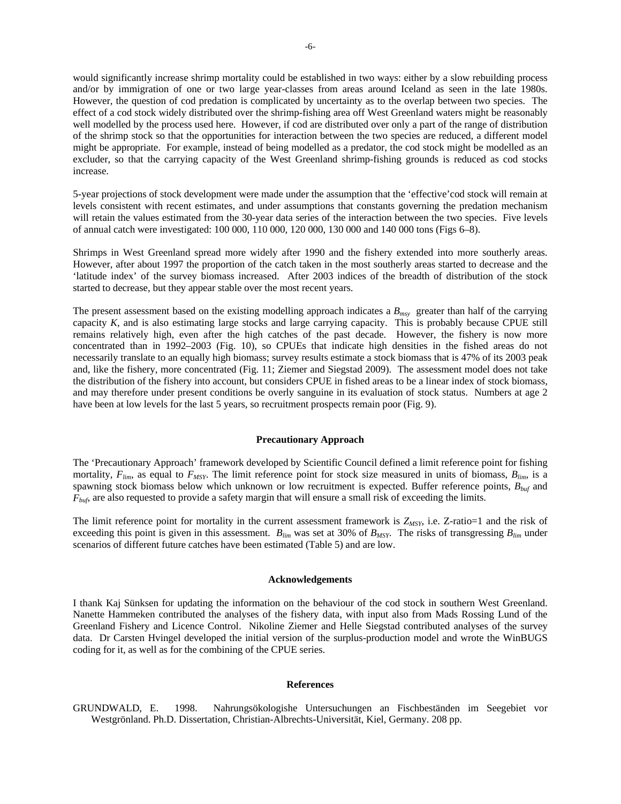would significantly increase shrimp mortality could be established in two ways: either by a slow rebuilding process and/or by immigration of one or two large year-classes from areas around Iceland as seen in the late 1980s. However, the question of cod predation is complicated by uncertainty as to the overlap between two species. The effect of a cod stock widely distributed over the shrimp-fishing area off West Greenland waters might be reasonably well modelled by the process used here. However, if cod are distributed over only a part of the range of distribution of the shrimp stock so that the opportunities for interaction between the two species are reduced, a different model might be appropriate. For example, instead of being modelled as a predator, the cod stock might be modelled as an excluder, so that the carrying capacity of the West Greenland shrimp-fishing grounds is reduced as cod stocks increase.

5-year projections of stock development were made under the assumption that the 'effective'cod stock will remain at levels consistent with recent estimates, and under assumptions that constants governing the predation mechanism will retain the values estimated from the 30-year data series of the interaction between the two species. Five levels of annual catch were investigated: 100 000, 110 000, 120 000, 130 000 and 140 000 tons (Figs 6–8).

Shrimps in West Greenland spread more widely after 1990 and the fishery extended into more southerly areas. However, after about 1997 the proportion of the catch taken in the most southerly areas started to decrease and the 'latitude index' of the survey biomass increased. After 2003 indices of the breadth of distribution of the stock started to decrease, but they appear stable over the most recent years.

The present assessment based on the existing modelling approach indicates a *Bmsy* greater than half of the carrying capacity *K*, and is also estimating large stocks and large carrying capacity. This is probably because CPUE still remains relatively high, even after the high catches of the past decade. However, the fishery is now more concentrated than in 1992–2003 (Fig. 10), so CPUEs that indicate high densities in the fished areas do not necessarily translate to an equally high biomass; survey results estimate a stock biomass that is 47% of its 2003 peak and, like the fishery, more concentrated (Fig. 11; Ziemer and Siegstad 2009). The assessment model does not take the distribution of the fishery into account, but considers CPUE in fished areas to be a linear index of stock biomass, and may therefore under present conditions be overly sanguine in its evaluation of stock status. Numbers at age 2 have been at low levels for the last 5 years, so recruitment prospects remain poor (Fig. 9).

## **Precautionary Approach**

The 'Precautionary Approach' framework developed by Scientific Council defined a limit reference point for fishing mortality,  $F_{lim}$ , as equal to  $F_{MSY}$ . The limit reference point for stock size measured in units of biomass,  $B_{lim}$ , is a spawning stock biomass below which unknown or low recruitment is expected. Buffer reference points, *Bbuf* and *F<sub>buf</sub>*, are also requested to provide a safety margin that will ensure a small risk of exceeding the limits.

The limit reference point for mortality in the current assessment framework is  $Z_{MSY}$ , i.e.  $Z$ -ratio=1 and the risk of exceeding this point is given in this assessment.  $B_{lim}$  was set at 30% of  $B_{MSY}$ . The risks of transgressing  $B_{lim}$  under scenarios of different future catches have been estimated (Table 5) and are low.

### **Acknowledgements**

I thank Kaj Sünksen for updating the information on the behaviour of the cod stock in southern West Greenland. Nanette Hammeken contributed the analyses of the fishery data, with input also from Mads Rossing Lund of the Greenland Fishery and Licence Control. Nikoline Ziemer and Helle Siegstad contributed analyses of the survey data. Dr Carsten Hvingel developed the initial version of the surplus-production model and wrote the WinBUGS coding for it, as well as for the combining of the CPUE series.

### **References**

GRUNDWALD, E. 1998. Nahrungsökologishe Untersuchungen an Fischbeständen im Seegebiet vor Westgrönland. Ph.D. Dissertation, Christian-Albrechts-Universität, Kiel, Germany. 208 pp.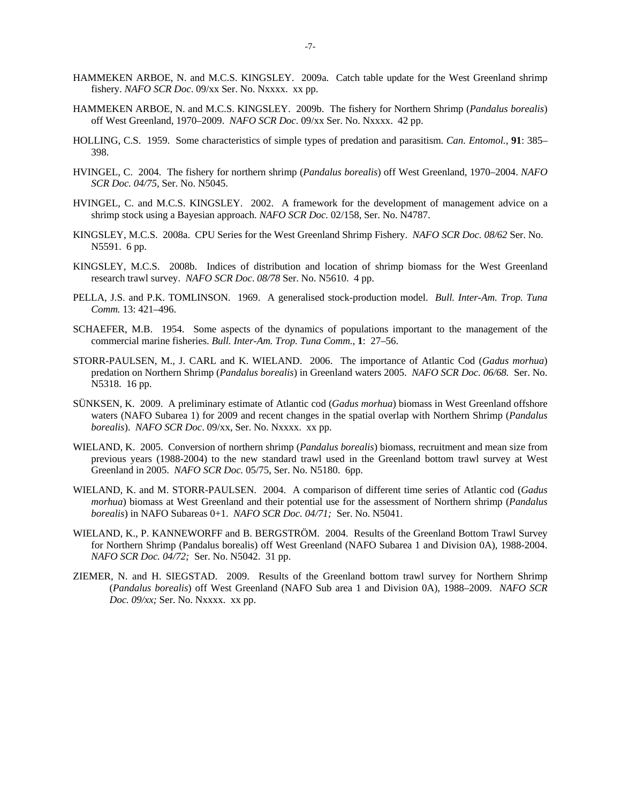- HAMMEKEN ARBOE, N. and M.C.S. KINGSLEY. 2009a. Catch table update for the West Greenland shrimp fishery. *NAFO SCR Doc*. 09/xx Ser. No. Nxxxx. xx pp.
- HAMMEKEN ARBOE, N. and M.C.S. KINGSLEY. 2009b. The fishery for Northern Shrimp (*Pandalus borealis*) off West Greenland, 1970–2009. *NAFO SCR Doc*. 09/xx Ser. No. Nxxxx. 42 pp.
- HOLLING, C.S. 1959. Some characteristics of simple types of predation and parasitism. *Can. Entomol.*, **91**: 385– 398.
- HVINGEL, C. 2004. The fishery for northern shrimp (*Pandalus borealis*) off West Greenland, 1970–2004. *NAFO SCR Doc. 04/75*, Ser. No. N5045.
- HVINGEL, C. and M.C.S. KINGSLEY. 2002. A framework for the development of management advice on a shrimp stock using a Bayesian approach. *NAFO SCR Doc.* 02/158, Ser. No. N4787.
- KINGSLEY, M.C.S. 2008a. CPU Series for the West Greenland Shrimp Fishery. *NAFO SCR Doc. 08/62* Ser. No. N5591. 6 pp.
- KINGSLEY, M.C.S. 2008b. Indices of distribution and location of shrimp biomass for the West Greenland research trawl survey. *NAFO SCR Doc*. *08/78* Ser. No. N5610. 4 pp.
- PELLA, J.S. and P.K. TOMLINSON. 1969. A generalised stock-production model. *Bull. Inter-Am. Trop. Tuna Comm.* 13: 421–496.
- SCHAEFER, M.B. 1954. Some aspects of the dynamics of populations important to the management of the commercial marine fisheries. *Bull. Inter-Am. Trop. Tuna Comm.*, **1**: 27–56.
- STORR-PAULSEN, M., J. CARL and K. WIELAND. 2006. The importance of Atlantic Cod (*Gadus morhua*) predation on Northern Shrimp (*Pandalus borealis*) in Greenland waters 2005. *NAFO SCR Doc. 06/68.* Ser. No. N5318. 16 pp.
- SÜNKSEN, K. 2009. A preliminary estimate of Atlantic cod (*Gadus morhua*) biomass in West Greenland offshore waters (NAFO Subarea 1) for 2009 and recent changes in the spatial overlap with Northern Shrimp (*Pandalus borealis*). *NAFO SCR Doc*. 09/xx, Ser. No. Nxxxx. xx pp.
- WIELAND, K. 2005. Conversion of northern shrimp (*Pandalus borealis*) biomass, recruitment and mean size from previous years (1988-2004) to the new standard trawl used in the Greenland bottom trawl survey at West Greenland in 2005. *NAFO SCR Doc.* 05/75, Ser. No. N5180. 6pp.
- WIELAND, K. and M. STORR-PAULSEN. 2004. A comparison of different time series of Atlantic cod (*Gadus morhua*) biomass at West Greenland and their potential use for the assessment of Northern shrimp (*Pandalus borealis*) in NAFO Subareas 0+1. *NAFO SCR Doc. 04/71;* Ser. No. N5041.
- WIELAND, K., P. KANNEWORFF and B. BERGSTRÖM. 2004. Results of the Greenland Bottom Trawl Survey for Northern Shrimp (Pandalus borealis) off West Greenland (NAFO Subarea 1 and Division 0A), 1988-2004. *NAFO SCR Doc. 04/72;* Ser. No. N5042. 31 pp.
- ZIEMER, N. and H. SIEGSTAD. 2009. Results of the Greenland bottom trawl survey for Northern Shrimp (*Pandalus borealis*) off West Greenland (NAFO Sub area 1 and Division 0A), 1988–2009. *NAFO SCR Doc. 09/xx;* Ser. No. Nxxxx. xx pp.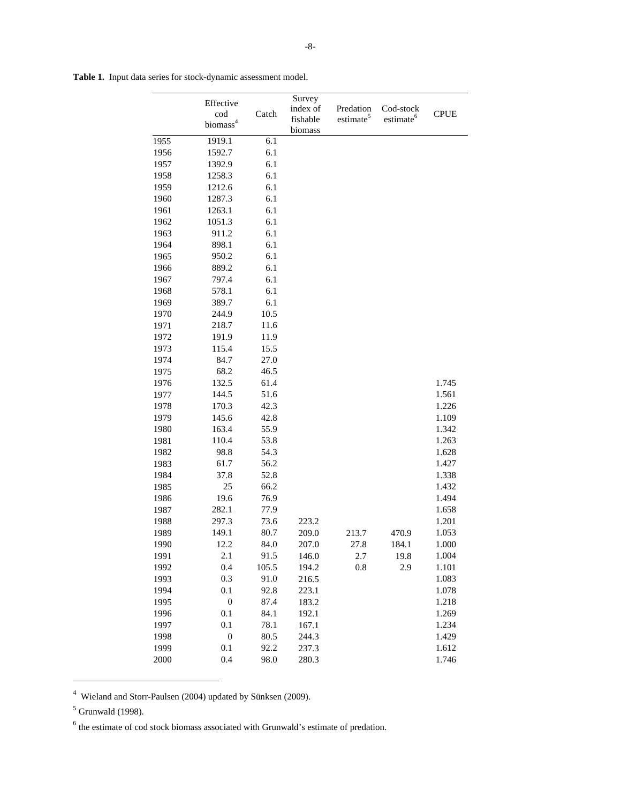|      | Effective                   |       | Survey<br>index of  | Predation             | Cod-stock             |             |
|------|-----------------------------|-------|---------------------|-----------------------|-----------------------|-------------|
|      | cod<br>biomass <sup>4</sup> | Catch | fishable<br>biomass | estimate <sup>5</sup> | estimate <sup>6</sup> | <b>CPUE</b> |
| 1955 | 1919.1                      | 6.1   |                     |                       |                       |             |
| 1956 | 1592.7                      | 6.1   |                     |                       |                       |             |
| 1957 | 1392.9                      | 6.1   |                     |                       |                       |             |
| 1958 | 1258.3                      | 6.1   |                     |                       |                       |             |
| 1959 | 1212.6                      | 6.1   |                     |                       |                       |             |
| 1960 | 1287.3                      | 6.1   |                     |                       |                       |             |
| 1961 | 1263.1                      | 6.1   |                     |                       |                       |             |
| 1962 | 1051.3                      | 6.1   |                     |                       |                       |             |
| 1963 | 911.2                       | 6.1   |                     |                       |                       |             |
| 1964 | 898.1                       | 6.1   |                     |                       |                       |             |
| 1965 | 950.2                       | 6.1   |                     |                       |                       |             |
| 1966 | 889.2                       | 6.1   |                     |                       |                       |             |
| 1967 | 797.4                       | 6.1   |                     |                       |                       |             |
| 1968 | 578.1                       | 6.1   |                     |                       |                       |             |
| 1969 | 389.7                       | 6.1   |                     |                       |                       |             |
| 1970 | 244.9                       | 10.5  |                     |                       |                       |             |
| 1971 | 218.7                       | 11.6  |                     |                       |                       |             |
| 1972 | 191.9                       | 11.9  |                     |                       |                       |             |
| 1973 | 115.4                       | 15.5  |                     |                       |                       |             |
| 1974 | 84.7                        | 27.0  |                     |                       |                       |             |
| 1975 | 68.2                        | 46.5  |                     |                       |                       |             |
| 1976 | 132.5                       | 61.4  |                     |                       |                       | 1.745       |
| 1977 | 144.5                       | 51.6  |                     |                       |                       | 1.561       |
| 1978 | 170.3                       | 42.3  |                     |                       |                       | 1.226       |
| 1979 | 145.6                       | 42.8  |                     |                       |                       | 1.109       |
| 1980 | 163.4                       | 55.9  |                     |                       |                       | 1.342       |
| 1981 | 110.4                       | 53.8  |                     |                       |                       | 1.263       |
| 1982 | 98.8                        | 54.3  |                     |                       |                       | 1.628       |
| 1983 | 61.7                        | 56.2  |                     |                       |                       | 1.427       |
| 1984 | 37.8                        | 52.8  |                     |                       |                       | 1.338       |
| 1985 | 25                          | 66.2  |                     |                       |                       | 1.432       |
| 1986 | 19.6                        | 76.9  |                     |                       |                       | 1.494       |
| 1987 | 282.1                       | 77.9  |                     |                       |                       | 1.658       |
| 1988 | 297.3                       | 73.6  | 223.2               |                       |                       | 1.201       |
| 1989 | 149.1                       | 80.7  | 209.0               | 213.7                 | 470.9                 | 1.053       |
| 1990 | 12.2                        | 84.0  | 207.0               | 27.8                  | 184.1                 | 1.000       |
| 1991 | 2.1                         | 91.5  | 146.0               | 2.7                   | 19.8                  | 1.004       |
| 1992 | 0.4                         | 105.5 | 194.2               | 0.8                   | 2.9                   | 1.101       |
| 1993 | 0.3                         | 91.0  | 216.5               |                       |                       | 1.083       |
| 1994 | 0.1                         | 92.8  | 223.1               |                       |                       | 1.078       |
| 1995 | $\boldsymbol{0}$            | 87.4  | 183.2               |                       |                       | 1.218       |
| 1996 | 0.1                         | 84.1  | 192.1               |                       |                       | 1.269       |
| 1997 | 0.1                         | 78.1  | 167.1               |                       |                       | 1.234       |
| 1998 | $\boldsymbol{0}$            | 80.5  | 244.3               |                       |                       | 1.429       |
| 1999 | 0.1                         | 92.2  | 237.3               |                       |                       | 1.612       |
| 2000 | 0.4                         | 98.0  | 280.3               |                       |                       | 1.746       |

**Table 1.** Input data series for stock-dynamic assessment model.

 $\overline{a}$ 

<sup>&</sup>lt;sup>4</sup> Wieland and Storr-Paulsen (2004) updated by Sünksen (2009).

<sup>5</sup> Grunwald (1998).

 $<sup>6</sup>$  the estimate of cod stock biomass associated with Grunwald's estimate of predation.</sup>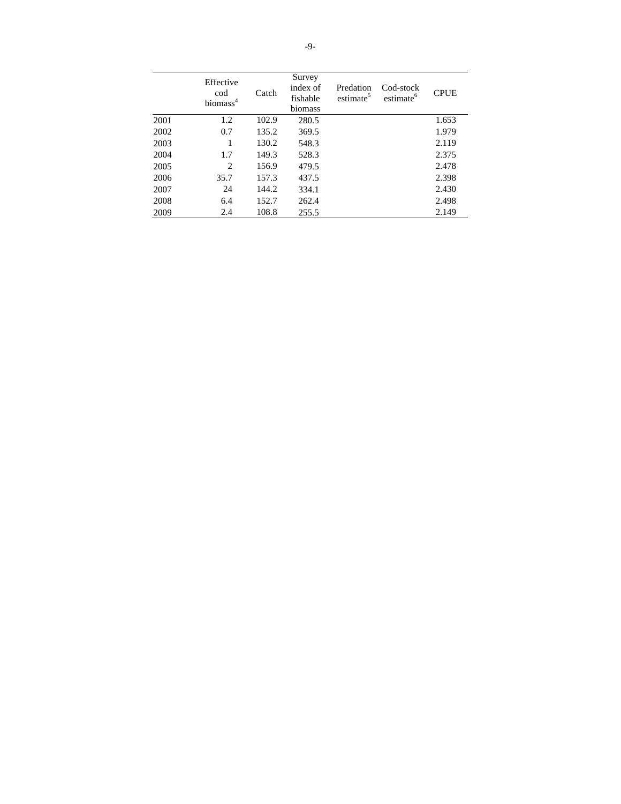|      | Effective<br>cod<br>biomass <sup>4</sup> | Catch | Survey<br>index of<br>fishable<br>biomass | Predation<br>estimate <sup>5</sup> | Cod-stock<br>estimate <sup>6</sup> | <b>CPUE</b> |
|------|------------------------------------------|-------|-------------------------------------------|------------------------------------|------------------------------------|-------------|
| 2001 | 1.2                                      | 102.9 | 280.5                                     |                                    |                                    | 1.653       |
| 2002 | 0.7                                      | 135.2 | 369.5                                     |                                    |                                    | 1.979       |
| 2003 | 1                                        | 130.2 | 548.3                                     |                                    |                                    | 2.119       |
| 2004 | 1.7                                      | 149.3 | 528.3                                     |                                    |                                    | 2.375       |
| 2005 | $\overline{c}$                           | 156.9 | 479.5                                     |                                    |                                    | 2.478       |
| 2006 | 35.7                                     | 157.3 | 437.5                                     |                                    |                                    | 2.398       |
| 2007 | 24                                       | 144.2 | 334.1                                     |                                    |                                    | 2.430       |
| 2008 | 6.4                                      | 152.7 | 262.4                                     |                                    |                                    | 2.498       |
| 2009 | 2.4                                      | 108.8 | 255.5                                     |                                    |                                    | 2.149       |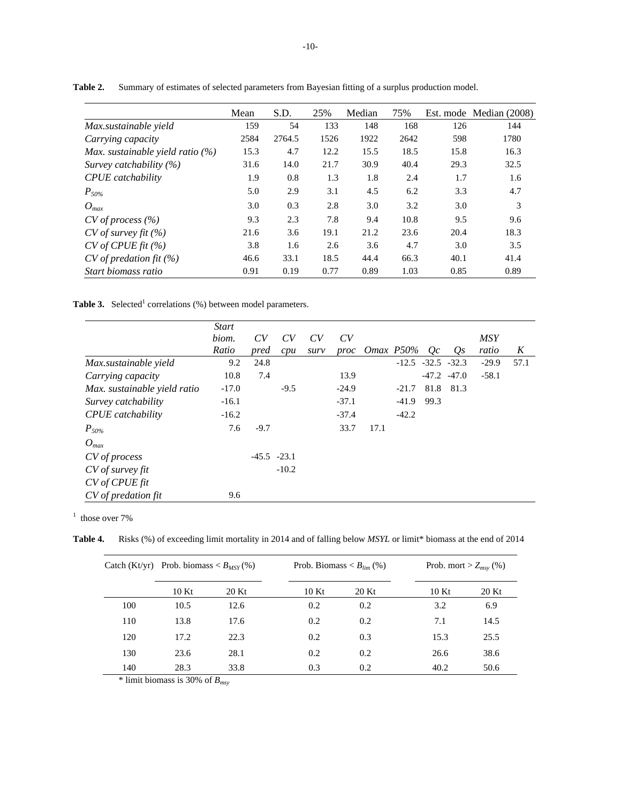|                                     | Mean | S.D.   | 25%  | Median | 75%  |      | Est. mode Median (2008) |
|-------------------------------------|------|--------|------|--------|------|------|-------------------------|
| Max.sustainable yield               | 159  | 54     | 133  | 148    | 168  | 126  | 144                     |
| Carrying capacity                   | 2584 | 2764.5 | 1526 | 1922   | 2642 | 598  | 1780                    |
| Max. sustainable yield ratio $(\%)$ | 15.3 | 4.7    | 12.2 | 15.5   | 18.5 | 15.8 | 16.3                    |
| Survey catchability $(\%)$          | 31.6 | 14.0   | 21.7 | 30.9   | 40.4 | 29.3 | 32.5                    |
| <b>CPUE</b> catchability            | 1.9  | 0.8    | 1.3  | 1.8    | 2.4  | 1.7  | 1.6                     |
| $P_{50\%}$                          | 5.0  | 2.9    | 3.1  | 4.5    | 6.2  | 3.3  | 4.7                     |
| $O_{max}$                           | 3.0  | 0.3    | 2.8  | 3.0    | 3.2  | 3.0  | 3                       |
| $CV$ of process $(\% )$             | 9.3  | 2.3    | 7.8  | 9.4    | 10.8 | 9.5  | 9.6                     |
| $CV$ of survey fit $(\%)$           | 21.6 | 3.6    | 19.1 | 21.2   | 23.6 | 20.4 | 18.3                    |
| CV of CPUs fit (%)                  | 3.8  | 1.6    | 2.6  | 3.6    | 4.7  | 3.0  | 3.5                     |
| $CV$ of predation fit $(\%)$        | 46.6 | 33.1   | 18.5 | 44.4   | 66.3 | 40.1 | 41.4                    |
| Start biomass ratio                 | 0.91 | 0.19   | 0.77 | 0.89   | 1.03 | 0.85 | 0.89                    |

**Table 2.** Summary of estimates of selected parameters from Bayesian fitting of a surplus production model.

**Table 3.** Selected<sup>1</sup> correlations (%) between model parameters.

|                              | <b>Start</b> |               |         |      |         |                |         |      |                         |            |      |
|------------------------------|--------------|---------------|---------|------|---------|----------------|---------|------|-------------------------|------------|------|
|                              | biom.        | CV            | CV      | CV   | CV      |                |         |      |                         | <b>MSY</b> |      |
|                              | Ratio        | pred          | cpu     | surv |         | proc Omax P50% |         | Oc   | $Q_{S}$                 | ratio      | K    |
| Max.sustainable yield        | 9.2          | 24.8          |         |      |         |                |         |      | $-12.5$ $-32.5$ $-32.3$ | $-29.9$    | 57.1 |
| Carrying capacity            | 10.8         | 7.4           |         |      | 13.9    |                |         |      | $-47.2 - 47.0$          | $-58.1$    |      |
| Max. sustainable yield ratio | $-17.0$      |               | $-9.5$  |      | $-24.9$ |                | $-21.7$ |      | 81.8 81.3               |            |      |
| Survey catchability          | $-16.1$      |               |         |      | $-37.1$ |                | $-41.9$ | 99.3 |                         |            |      |
| <b>CPUE</b> catchability     | $-16.2$      |               |         |      | $-37.4$ |                | $-42.2$ |      |                         |            |      |
| $P_{50\%}$                   | 7.6          | $-9.7$        |         |      | 33.7    | 17.1           |         |      |                         |            |      |
| $O_{max}$                    |              |               |         |      |         |                |         |      |                         |            |      |
| CV of process                |              | $-45.5 -23.1$ |         |      |         |                |         |      |                         |            |      |
| CV of survey fit             |              |               | $-10.2$ |      |         |                |         |      |                         |            |      |
| CV of CPUE fit               |              |               |         |      |         |                |         |      |                         |            |      |
| CV of predation fit          | 9.6          |               |         |      |         |                |         |      |                         |            |      |

 $1$  those over 7%

**Table 4.** Risks (%) of exceeding limit mortality in 2014 and of falling below *MSYL* or limit\* biomass at the end of 2014

| Catch $(Kt/yr)$ | Prob. biomass $\langle B_{MSY}(\%)\rangle$ |       |      | Prob. Biomass $\langle B_{lim} (\% )$ |      | Prob. mort > $Z_{msy}$ (%) |  |
|-----------------|--------------------------------------------|-------|------|---------------------------------------|------|----------------------------|--|
|                 | 10Kt                                       | 20 Kt | 10Kt | 20 Kt                                 | 10Kt | 20 Kt                      |  |
| 100             | 10.5                                       | 12.6  | 0.2  | 0.2                                   | 3.2  | 6.9                        |  |
| 110             | 13.8                                       | 17.6  | 0.2  | 0.2                                   | 7.1  | 14.5                       |  |
| 120             | 17.2                                       | 22.3  | 0.2  | 0.3                                   | 15.3 | 25.5                       |  |
| 130             | 23.6                                       | 28.1  | 0.2  | 0.2                                   | 26.6 | 38.6                       |  |
| 140             | 28.3                                       | 33.8  | 0.3  | 0.2                                   | 40.2 | 50.6                       |  |

\* limit biomass is 30% of *Bmsy*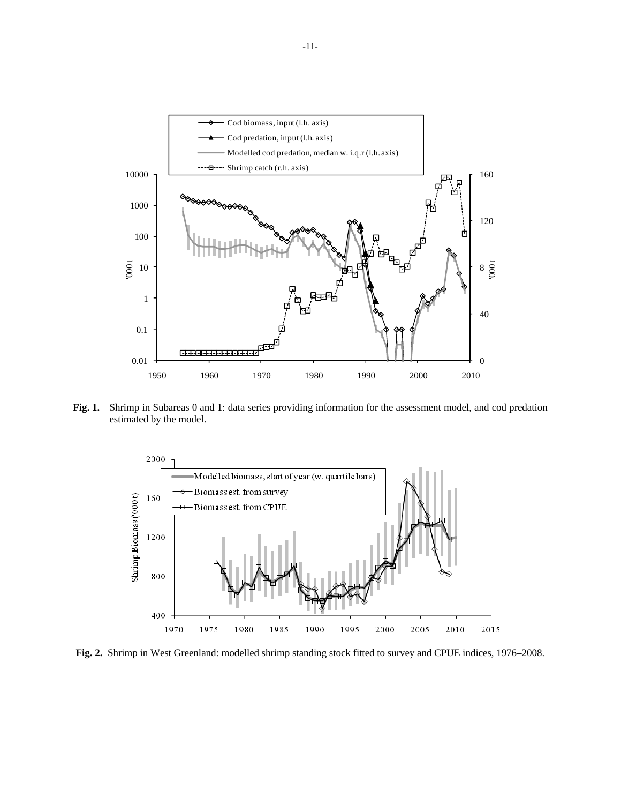

**Fig. 1.** Shrimp in Subareas 0 and 1: data series providing information for the assessment model, and cod predation estimated by the model.



**Fig. 2.** Shrimp in West Greenland: modelled shrimp standing stock fitted to survey and CPUE indices, 1976–2008.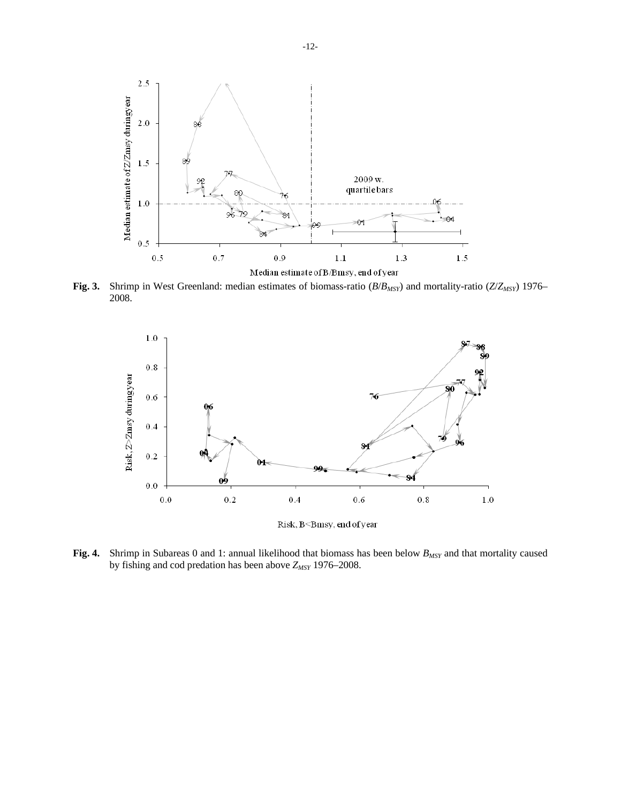

**Fig. 3.** Shrimp in West Greenland: median estimates of biomass-ratio (*B*/*BMSY*) and mortality-ratio (*Z*/*ZMSY*) 1976– 2008.



Risk, B<Bmsy, end of year

**Fig. 4.** Shrimp in Subareas 0 and 1: annual likelihood that biomass has been below  $B_{MSY}$  and that mortality caused by fishing and cod predation has been above  $Z_{MSY}$  1976–2008.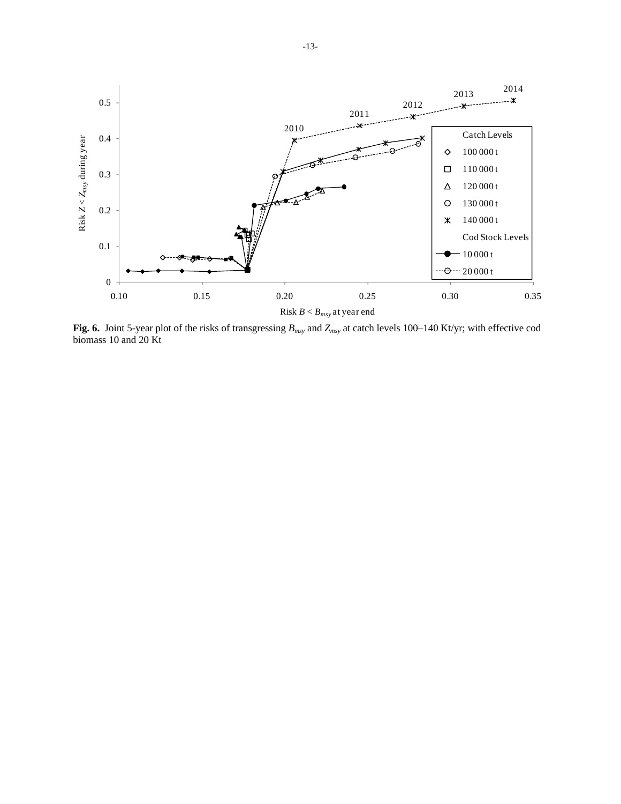

**Fig. 6.** Joint 5-year plot of the risks of transgressing *Bmsy* and *Zmsy* at catch levels 100–140 Kt/yr; with effective cod biomass 10 and 20 Kt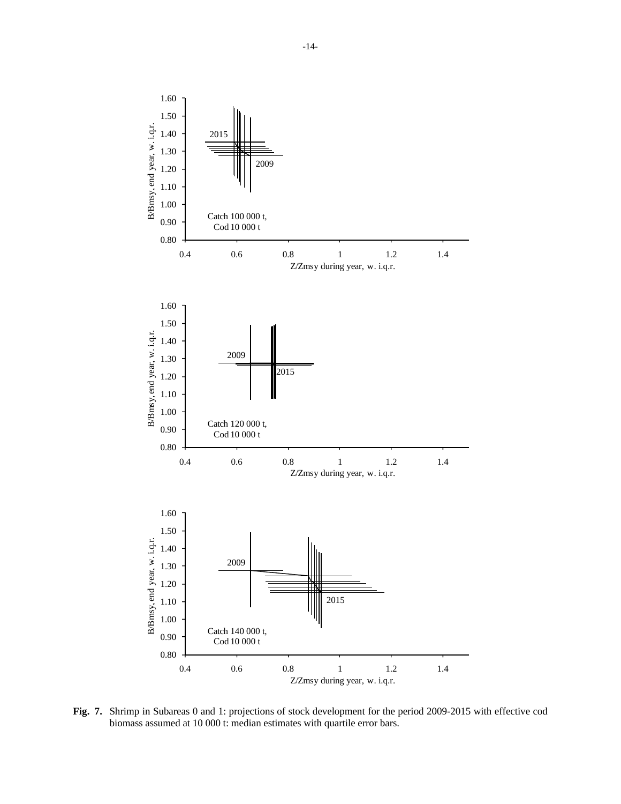

**Fig. 7.** Shrimp in Subareas 0 and 1: projections of stock development for the period 2009-2015 with effective cod biomass assumed at 10 000 t: median estimates with quartile error bars.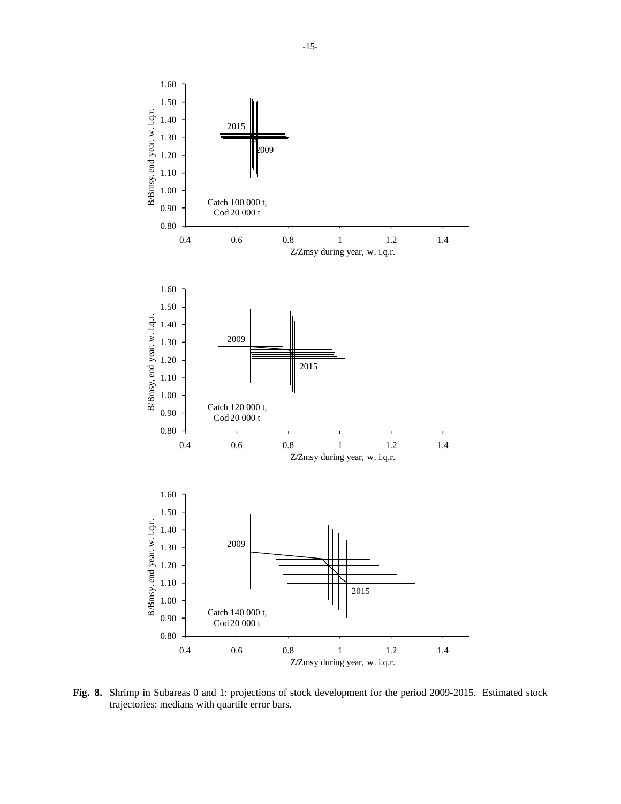

**Fig. 8.** Shrimp in Subareas 0 and 1: projections of stock development for the period 2009-2015. Estimated stock trajectories: medians with quartile error bars.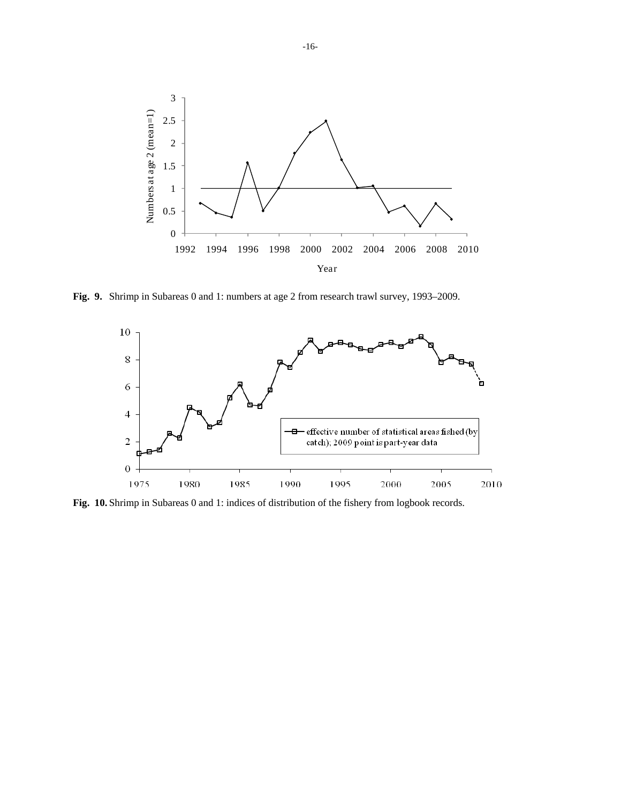

**Fig. 9.** Shrimp in Subareas 0 and 1: numbers at age 2 from research trawl survey, 1993–2009.



**Fig. 10.** Shrimp in Subareas 0 and 1: indices of distribution of the fishery from logbook records.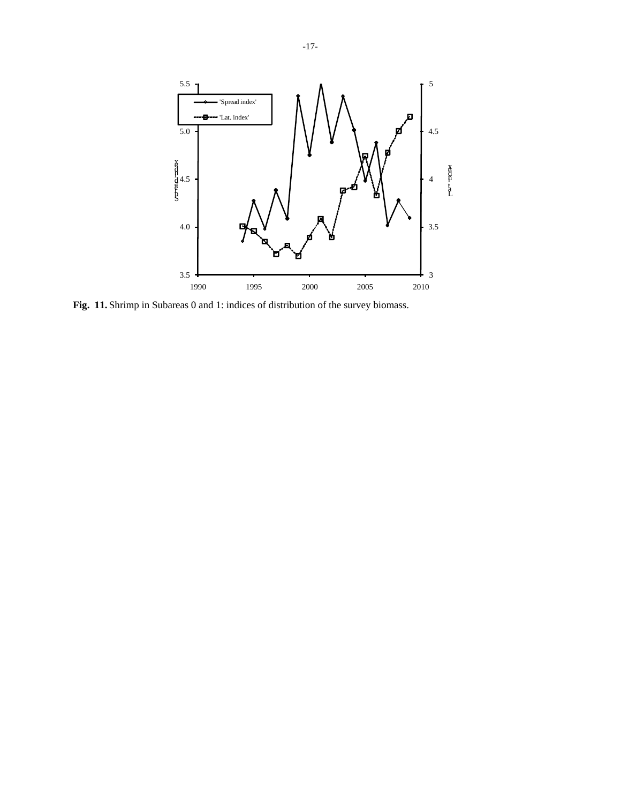

**Fig. 11.** Shrimp in Subareas 0 and 1: indices of distribution of the survey biomass.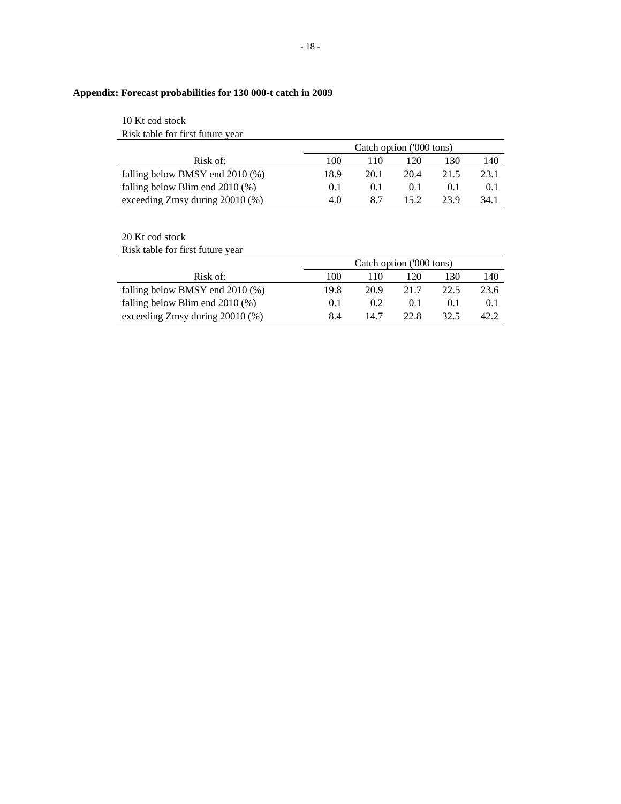# **Appendix: Forecast probabilities for 130 000-t catch in 2009**

# 10 Kt cod stock Risk table for first future year

|                                      | Catch option ('000 tons) |      |       |      |       |  |  |
|--------------------------------------|--------------------------|------|-------|------|-------|--|--|
| Risk of:                             | 100                      | 110. | 20    | 130  | 140   |  |  |
| falling below BMSY end $2010\,(%)$   | 18.9                     | 20.1 | 20.4  | 21.5 | 23.1  |  |  |
| falling below Blim end $2010$ (%)    | 0.1                      | 0.1  | (0.1) |      | (0,1) |  |  |
| exceeding $Zmsy$ during $20010\,(%)$ | 4.0                      | 8.7  | 152   | 23.9 | 34.1  |  |  |

# 20 Kt cod stock

Risk table for first future year

|                                   |      | Catch option ('000 tons) |      |      |      |  |  |  |
|-----------------------------------|------|--------------------------|------|------|------|--|--|--|
| Risk of:                          | 100  | 110                      | 120  | 130  | 140  |  |  |  |
| falling below BMSY end $2010$ (%) | 19.8 | 20.9                     | 21.7 | 22.5 | 23.6 |  |  |  |
| falling below Blim end $2010$ (%) | 0.1  | 0.2                      | 0.1  |      | 0.1  |  |  |  |
| exceeding Zmsy during 20010 (%)   | 8.4  | 14 7                     | 22.8 |      |      |  |  |  |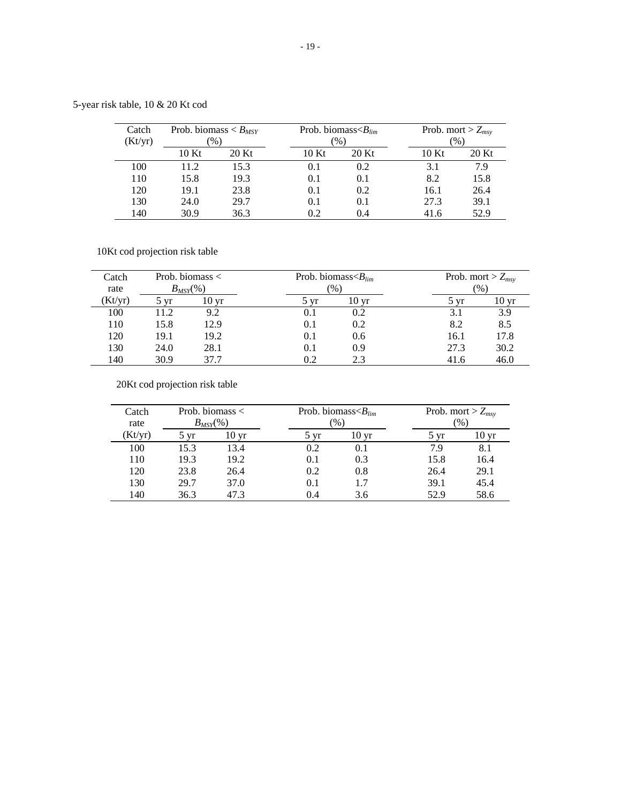5-year risk table, 10 & 20 Kt cod

| Catch   | Prob. biomass $\lt B_{MSY}$ |               | Prob. biomass $\langle B_{lim}$ |       |       | Prob. mort > $Z_{msv}$ |
|---------|-----------------------------|---------------|---------------------------------|-------|-------|------------------------|
| (Kt/yr) |                             | $\frac{1}{2}$ | $\frac{1}{2}$                   |       |       | $\%$                   |
|         | 10 Kt                       | 20 Kt         | 10Kt                            | 20 Kt | 10 Kt | 20 Kt                  |
| 100     | 11.2                        | 15.3          | 0.1                             | 0.2   | 3.1   | 7.9                    |
| 110     | 15.8                        | 19.3          | 0.1                             | 0.1   | 8.2   | 15.8                   |
| 120     | 19.1                        | 23.8          | 0.1                             | 0.2   | 16.1  | 26.4                   |
| 130     | 24.0                        | 29.7          | 0.1                             | 0.1   | 27.3  | 39.1                   |
| 140     | 30.9                        | 36.3          | 0.2                             | 0.4   | 41.6  | 52.9                   |

10Kt cod projection risk table

| Catch   |      | Prob. biomass $\lt$ |                 | Prob. biomass $\langle B_{lim}$ |      | Prob. mort > $Z_{msv}$ |
|---------|------|---------------------|-----------------|---------------------------------|------|------------------------|
| rate    |      | $B_{MSY}(\%)$       |                 | $\frac{9}{6}$                   |      | $\frac{1}{2}$          |
| (Kt/yr) | 7 vr | 10 <sub>yr</sub>    | $5 \mathrm{vr}$ | 10 <sub>yr</sub>                | 5 vr | 10 <sub>yr</sub>       |
| 100     | 11.2 | 9.2                 | 0.1             | 0.2                             | 3.1  | 3.9                    |
| 110     | 15.8 | 12.9                | 0.1             | 0.2                             | 8.2  | 8.5                    |
| 120     | 19.1 | 19.2                | 0.1             | 0.6                             | 16.1 | 17.8                   |
| 130     | 24.0 | 28.1                | 0.1             | 0.9                             | 27.3 | 30.2                   |
| 140     | 30.9 | 37 7                | 0.2             | 2.3                             | 41.6 | 46.0                   |

20Kt cod projection risk table

| Catch<br>rate |      | Prob. biomass $\lt$<br>$B_{MSY}(\%)$ |      | Prob. biomass $\langle B_{lim}$<br>$\frac{1}{2}$ |      | Prob. mort > $Z_{msv}$<br>$\%$ |
|---------------|------|--------------------------------------|------|--------------------------------------------------|------|--------------------------------|
| (Kt/yr)       | vr   | $10 \,\mathrm{vr}$                   | 5 vr | 10 vr                                            | 5 yr | 10 yr                          |
| 100           | 15.3 | 13.4                                 | 0.2  | 0.1                                              | 79   | 8.1                            |
| 110           | 19.3 | 19.2                                 | 0.1  | 0.3                                              | 15.8 | 16.4                           |
| 120           | 23.8 | 26.4                                 | 0.2  | 0.8                                              | 26.4 | 29.1                           |
| 130           | 29.7 | 37.0                                 | 0.1  |                                                  | 39.1 | 45.4                           |
| 140           | 36.3 | 47.3                                 | 0.4  | 3.6                                              | 52.9 | 58.6                           |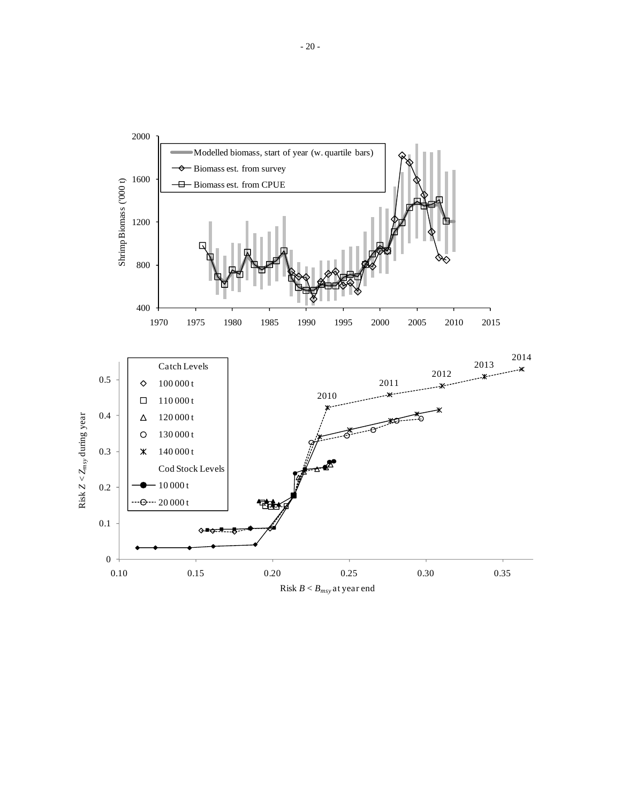